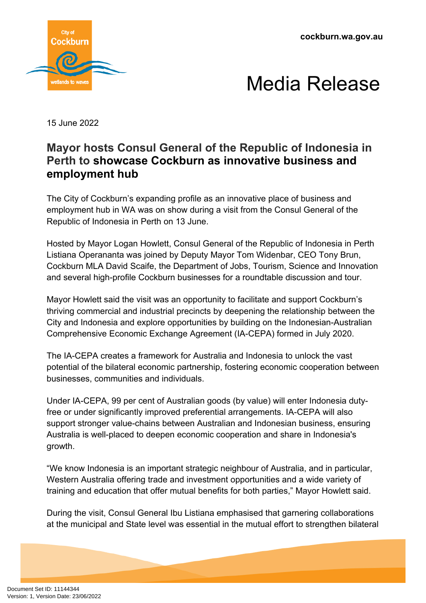



15 June 2022

## **Mayor hosts Consul General of the Republic of Indonesia in Perth to showcase Cockburn as innovative business and employment hub**

The City of Cockburn's expanding profile as an innovative place of business and employment hub in WA was on show during a visit from the Consul General of the Republic of Indonesia in Perth on 13 June.

Hosted by Mayor Logan Howlett, Consul General of the Republic of Indonesia in Perth Listiana Operananta was joined by Deputy Mayor Tom Widenbar, CEO Tony Brun, Cockburn MLA David Scaife, the Department of Jobs, Tourism, Science and Innovation and several high-profile Cockburn businesses for a roundtable discussion and tour.

Mayor Howlett said the visit was an opportunity to facilitate and support Cockburn's thriving commercial and industrial precincts by deepening the relationship between the City and Indonesia and explore opportunities by building on the Indonesian-Australian Comprehensive Economic Exchange Agreement (IA-CEPA) formed in July 2020.

The IA-CEPA creates a framework for Australia and Indonesia to unlock the vast potential of the bilateral economic partnership, fostering economic cooperation between businesses, communities and individuals.

Under IA-CEPA, 99 per cent of Australian goods (by value) will enter Indonesia dutyfree or under significantly improved preferential arrangements. IA-CEPA will also support stronger value-chains between Australian and Indonesian business, ensuring Australia is well-placed to deepen economic cooperation and share in Indonesia's growth.

"We know Indonesia is an important strategic neighbour of Australia, and in particular, Western Australia offering trade and investment opportunities and a wide variety of training and education that offer mutual benefits for both parties," Mayor Howlett said.

During the visit, Consul General Ibu Listiana emphasised that garnering collaborations at the municipal and State level was essential in the mutual effort to strengthen bilateral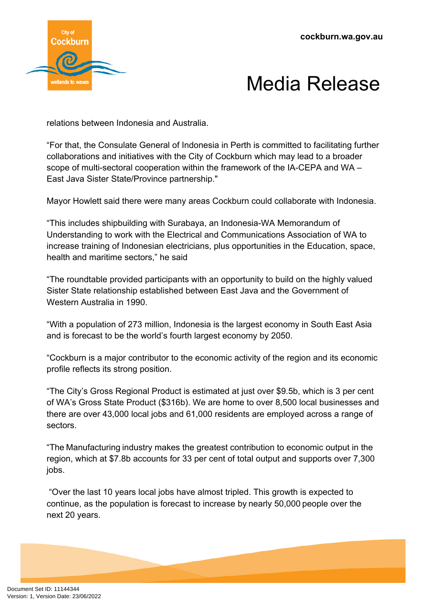

## Media Release

relations between Indonesia and Australia.

"For that, the Consulate General of Indonesia in Perth is committed to facilitating further collaborations and initiatives with the City of Cockburn which may lead to a broader scope of multi-sectoral cooperation within the framework of the IA-CEPA and WA – East Java Sister State/Province partnership."

Mayor Howlett said there were many areas Cockburn could collaborate with Indonesia.

"This includes shipbuilding with Surabaya, an Indonesia-WA Memorandum of Understanding to work with the Electrical and Communications Association of WA to increase training of Indonesian electricians, plus opportunities in the Education, space, health and maritime sectors," he said

"The roundtable provided participants with an opportunity to build on the highly valued Sister State relationship established between East Java and the Government of Western Australia in 1990.

"With a population of 273 million, Indonesia is the largest economy in South East Asia and is forecast to be the world's fourth largest economy by 2050.

"Cockburn is a major contributor to the economic activity of the region and its economic profile reflects its strong position.

"The City's Gross Regional Product is estimated at just over \$9.5b, which is 3 per cent of WA's Gross State Product (\$316b). We are home to over 8,500 local businesses and there are over 43,000 local jobs and 61,000 residents are employed across a range of sectors.

"The Manufacturing industry makes the greatest contribution to economic output in the region, which at \$7.8b accounts for 33 per cent of total output and supports over 7,300 jobs.

 "Over the last 10 years local jobs have almost tripled. This growth is expected to continue, as the population is forecast to increase by nearly 50,000 people over the next 20 years.